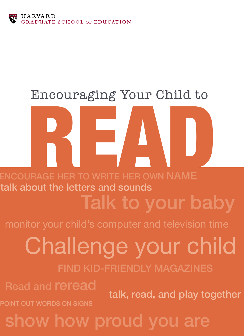

#### Encouraging Your Child to

READ COURAGE HER TO WRITE HER OWN NAME

Talk to your baby talk about the letters and sounds

# Challenge your child

find kid-friendly magazines

Read and reread

talk, read, and play together

POINT OUT WORDS ON SIGNS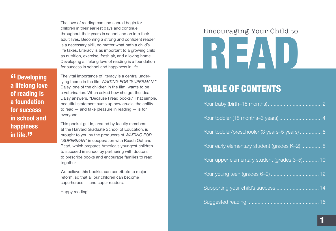The love of reading can and should begin for children in their earliest days and continue throughout their years in school and on into their adult lives. Becoming a strong and confident reader is a necessary skill, no matter what path a child's life takes. Literacy is as important to a growing child as nutrition, exercise, fresh air, and a loving home. Developing a lifelong love of reading is a foundation for success in school and happiness in life.

**"Developing a lifelong love of reading is a foundation for success in school and happiness in life."**

The vital importance of literacy is a central underlying theme in the film *WAITING FOR "SUPERMAN."* Daisy, one of the children in the film, wants to be a veterinarian. When asked how she got the idea, Daisy answers, "Because I read books." That simple, beautiful statement sums up how crucial the ability to read — and take pleasure in reading — is for everyone.

This pocket guide, created by faculty members at the Harvard Graduate School of Education, is brought to you by the producers of *WAITING FOR "SUPERMAN"* in cooperation with Reach Out and Read, which prepares America's youngest children to succeed in school by partnering with doctors to prescribe books and encourage families to read together.

We believe this booklet can contribute to major reform, so that all our children can become superheroes — and super readers.

Happy reading!

# READ Encouraging Your Child to

#### table of contents

| Your toddler (18 months-3 years)  4           |
|-----------------------------------------------|
| Your toddler/preschooler (3 years-5 years)  6 |
| Your early elementary student (grades K-2)  8 |
| Your upper elementary student (grades 3-5) 10 |
|                                               |
| Supporting your child's success  14           |
|                                               |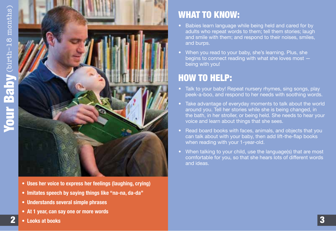

- **• Uses her voice to express her feelings (laughing, crying)**
- **• Imitates speech by saying things like "na-na, da-da"**
- **• Understands several simple phrases**
- **• At 1 year, can say one or more words**

#### What to know:

- Babies learn language while being held and cared for by adults who repeat words to them; tell them stories; laugh and smile with them; and respond to their noises, smiles, and burps.
- When you read to your baby, she's learning. Plus, she begins to connect reading with what she loves most being with you!

- Talk to your baby! Repeat nursery rhymes, sing songs, play peek-a-boo, and respond to her needs with soothing words.
- Take advantage of everyday moments to talk about the world around you. Tell her stories while she is being changed, in the bath, in her stroller, or being held. She needs to hear your voice and learn about things that she sees.
- Read board books with faces, animals, and objects that you can talk about with your baby, then add lift-the-flap books when reading with your 1-year-old.
- When talking to your child, use the language(s) that are most comfortable for you, so that she hears lots of different words and ideas.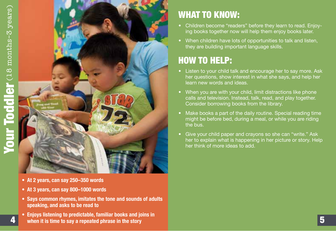

- **• At 2 years, can say 250–350 words**
- **• At 3 years, can say 800–1000 words**
- **• Says common rhymes, imitates the tone and sounds of adults speaking, and asks to be read to**
- **• Enjoys listening to predictable, familiar books and joins in** 4 **when it is time to say <sup>a</sup> repeated phrase in the story**

- Children become "readers" before they learn to read. Enjoying books together now will help them enjoy books later.
- When children have lots of opportunities to talk and listen, they are building important language skills.

- Listen to your child talk and encourage her to say more. Ask her questions, show interest in what she says, and help her learn new words and ideas.
- When you are with your child, limit distractions like phone calls and television. Instead, talk, read, and play together. Consider borrowing books from the library.
- Make books a part of the daily routine. Special reading time might be before bed, during a meal, or while you are riding the bus.
- Give your child paper and crayons so she can "write." Ask her to explain what is happening in her picture or story. Help her think of more ideas to add.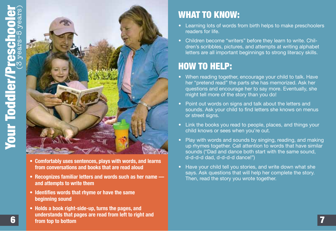

- **• Comfortably uses sentences, plays with words, and learns from conversations and books that are read aloud**
- **• Recognizes familiar letters and words such as her name and attempts to write them**
- **• Identifies words that rhyme or have the same beginning sound**
- **• Holds a book right-side-up, turns the pages, and**

- Learning lots of words from birth helps to make preschoolers readers for life.
- Children become "writers" before they learn to write. Children's scribbles, pictures, and attempts at writing alphabet letters are all important beginnings to strong literacy skills.

- When reading together, encourage your child to talk. Have her "pretend read" the parts she has memorized. Ask her questions and encourage her to say more. Eventually, she might tell more of the story than you do!
- Point out words on signs and talk about the letters and sounds. Ask your child to find letters she knows on menus or street signs.
- Link the books you read to people, places, and things your child knows or sees when you're out.
- Play with words and sounds by singing, reading, and making up rhymes together. Call attention to words that have similar sounds ("Dad and dance both start with the same sound, d-d-d-d dad, d-d-d-d dance!")
- Have your child tell you stories, and write down what she says. Ask questions that will help her complete the story. Then, read the story you wrote together.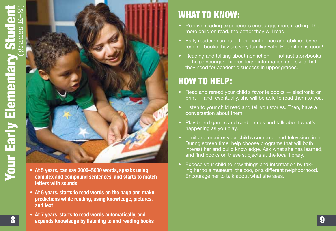

- **• At 5 years, can say 3000–5000 words, speaks using complex and compound sentences, and starts to match letters with sounds**
- **• At 6 years, starts to read words on the page and make predictions while reading, using knowledge, pictures, and text**
- **• At 7 years, starts to read words automatically, and expands** knowledge by listening to and reading books **Expands knowledge** by listening to and reading books

- Positive reading experiences encourage more reading. The more children read, the better they will read.
- Early readers can build their confidence and abilities by rereading books they are very familiar with. Repetition is good!
- Reading and talking about nonfiction  $-$  not just storybooks — helps younger children learn information and skills that they need for academic success in upper grades.

- Read and reread your child's favorite books electronic or print — and, eventually, she will be able to read them to you.
- Listen to your child read and tell you stories. Then, have a conversation about them.
- Play board games and card games and talk about what's happening as you play.
- Limit and monitor your child's computer and television time. During screen time, help choose programs that will both interest her and build knowledge. Ask what she has learned, and find books on these subjects at the local library.
- Expose your child to new things and information by taking her to a museum, the zoo, or a different neighborhood. Encourage her to talk about what she sees.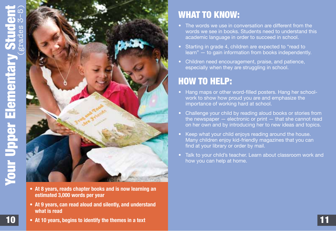# Elementary Student (grades 3–5)  $\theta$ grade **Your Upper Elementary** Your Upper



- **• At 8 years, reads chapter books and is now learning an estimated 3,000 words per year**
- **• At 9 years, can read aloud and silently, and understand what is read**

#### WHAT TO KNOW:

- The words we use in conversation are different from the words we see in books. Students need to understand this academic language in order to succeed in school.
- Starting in grade 4, children are expected to "read to learn" — to gain information from books independently.
- Children need encouragement, praise, and patience, especially when they are struggling in school.

#### How to help:

- Hang maps or other word-filled posters. Hang her schoolwork to show how proud you are and emphasize the importance of working hard at school.
- Challenge your child by reading aloud books or stories from the newspaper  $-$  electronic or print  $-$  that she cannot read on her own and by introducing her to new ideas and topics.
- Keep what your child enjoys reading around the house. Many children enjoy kid-friendly magazines that you can find at your library or order by mail.
- Talk to your child's teacher. Learn about classroom work and how you can help at home.

**10** • At 10 years, begins to identify the themes in a text **in the state of the controlled by the state of the state of the state of the state of the state of the state of the state of the state of the state of the state**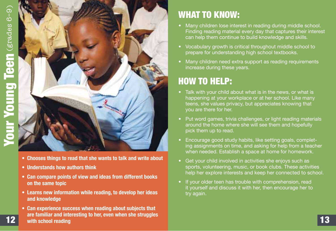

- **• Chooses things to read that she wants to talk and write about**
- **• Understands how authors think**
- **• Can compare points of view and ideas from different books on the same topic**
- **• Learns new information while reading, to develop her ideas and knowledge**
- **• Can experience success when reading about subjects that are familiar and interesting to her, even when she struggles** 12 **with school reading** 13

- Many children lose interest in reading during middle school. Finding reading material every day that captures their interest can help them continue to build knowledge and skills.
- Vocabulary growth is critical throughout middle school to prepare for understanding high school textbooks.
- Many children need extra support as reading requirements increase during these years.

- Talk with your child about what is in the news, or what is happening at your workplace or at her school. Like many teens, she values privacy, but appreciates knowing that you are there for her.
- Put word games, trivia challenges, or light reading materials around the home where she will see them and hopefully pick them up to read.
- Encourage good study habits, like setting goals, completing assignments on time, and asking for help from a teacher when needed. Establish a space at home for homework.
- Get your child involved in activities she enjoys such as sports, volunteering, music, or book clubs. These activities help her explore interests and keep her connected to school.
- If your older teen has trouble with comprehension, read it yourself and discuss it with her, then encourage her to try again.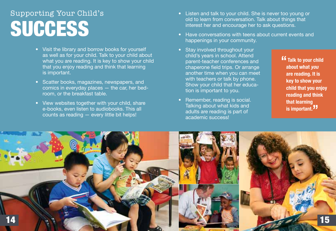## **SUCCESS** Supporting Your Child's

- Visit the library and borrow books for yourself as well as for your child. Talk to your child about what you are reading. It is key to show your child that you enjoy reading and think that learning is important.
- Scatter books, magazines, newspapers, and comics in everyday places — the car, her bedroom, or the breakfast table.
- View websites together with your child, share e-books, even listen to audiobooks. This all counts as reading — every little bit helps!
- Listen and talk to your child. She is never too young or old to learn from conversation. Talk about things that interest her and encourage her to ask questions.
- Have conversations with teens about current events and happenings in your community.
- Stay involved throughout your child's years in school. Attend parent-teacher conferences and chaperone field trips. Or arrange another time when you can meet with teachers or talk by phone. Show your child that her education is important to you.
- Remember, reading is social. Talking about what kids and adults are reading is part of academic success!

**" Talk to your child about what** *you* **are reading. It is key to show your child that you enjoy reading and think that learning is important."**

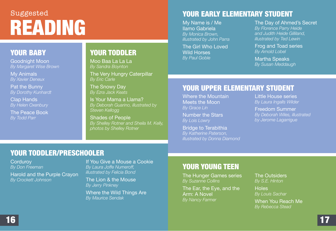### reading Suggested

#### Your Baby

Goodnight Moon *By Margaret Wise Brown*

My Animals *By Xavier Deneux*

Pat the Bunny *By Dorothy Kunhardt*

Clap Hands *By Helen Oxenbury*

The Peace Book *By Todd Parr*

#### YOUR TODDLER

Moo Baa La La La *By Sandra Boynton*

The Very Hungry Caterpillar *By Eric Carle*

The Snowy Day *By Ezra Jack Keats*

Is Your Mama a Llama? *By Deborah Guarino, illustrated by Steven Kellogg*

Shades of People *By Shelley Rotner and Sheila M. Kelly, photos by Shelley Rotner*

#### Your Early Elementary Student

My Name is / Me llamo Gabriela *By Monica Brown, illustrated by John Parra*

The Girl Who Loved Wild Horses *By Paul Goble*

#### The Day of Ahmed's Secret *By Florence Parry Heide and Judith Heide Gilliland, illustrated by Ted Lewin*

Frog and Toad series *By Arnold Lobel*

Martha Speaks *By Susan Meddaugh*

#### Your Upper Elementary Student

Where the Mountain Meets the Moon *By Grace Lin*

Number the Stars *By Lois Lowry*

Bridge to Terabithia *By Katherine Paterson, illustrated by Donna Diamond* Little House series *By Laura Ingalls Wilder*

Freedom Summer *By Deborah Wiles, illustrated by Jerome Lagarrigue*

#### Your Toddler/Preschooler

**Cordurov** *By Don Freeman*

Harold and the Purple Crayon *By Crockett Johnson*

If You Give a Mouse a Cookie *By Laura Joffe Numeroff, illustrated by Felicia Bond*

The Lion & the Mouse *By Jerry Pinkney* 

Where the Wild Things Are *By Maurice Sendak*

#### Your Young Teen

The Hunger Games series *By Suzanne Collins*

The Ear, the Eye, and the Arm: A Novel *By Nancy Farmer*

The Outsiders *By S.E. Hinton*

**Holes** *By Louis Sachar*

When You Reach Me *By Rebecca Stead*